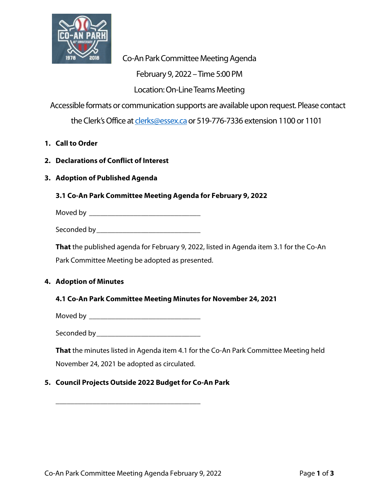

Co-An Park Committee Meeting Agenda

February 9, 2022 –Time 5:00 PM

Location: On-Line Teams Meeting

Accessible formats or communication supports are available upon request. Please contact

the Clerk's Office a[t clerks@essex.ca](mailto:clerks@essex.ca) or 519-776-7336 extension 1100 or 1101

- **1. Call to Order**
- **2. Declarations of Conflict of Interest**
- **3. Adoption of Published Agenda**
	- **3.1 Co-An Park Committee Meeting Agenda for February 9, 2022**

Moved by \_\_\_\_\_\_\_\_\_\_\_\_\_\_\_\_\_\_\_\_\_\_\_\_\_\_\_\_\_\_

Seconded by **Executive Seconded** by

**That** the published agenda for February 9, 2022, listed in Agenda item 3.1 for the Co-An

Park Committee Meeting be adopted as presented.

## **4. Adoption of Minutes**

#### **4.1 Co-An Park Committee Meeting Minutes for November 24, 2021**

Moved by \_\_\_\_\_\_\_\_\_\_\_\_\_\_\_\_\_\_\_\_\_\_\_\_\_\_\_\_\_\_

Seconded by\_\_\_\_\_\_\_\_\_\_\_\_\_\_\_\_\_\_\_\_\_\_\_\_\_\_\_\_

**That** the minutes listed in Agenda item 4.1 for the Co-An Park Committee Meeting held

November 24, 2021 be adopted as circulated.

\_\_\_\_\_\_\_\_\_\_\_\_\_\_\_\_\_\_\_\_\_\_\_\_\_\_\_\_\_\_\_\_\_\_\_\_\_\_\_

## **5. Council Projects Outside 2022 Budget for Co-An Park**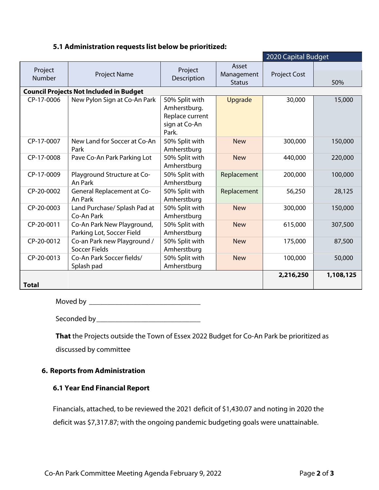#### **5.1 Administration requests list below be prioritized:**

|                   |                                                         | 2020 Capital Budget                                                         |                                      |                     |           |
|-------------------|---------------------------------------------------------|-----------------------------------------------------------------------------|--------------------------------------|---------------------|-----------|
| Project<br>Number | Project Name                                            | Project<br>Description                                                      | Asset<br>Management<br><b>Status</b> | <b>Project Cost</b> | 50%       |
|                   | <b>Council Projects Not Included in Budget</b>          |                                                                             |                                      |                     |           |
| CP-17-0006        | New Pylon Sign at Co-An Park                            | 50% Split with<br>Amherstburg.<br>Replace current<br>sign at Co-An<br>Park. | Upgrade                              | 30,000              | 15,000    |
| CP-17-0007        | New Land for Soccer at Co-An<br>Park                    | 50% Split with<br>Amherstburg                                               | <b>New</b>                           | 300,000             | 150,000   |
| CP-17-0008        | Pave Co-An Park Parking Lot                             | 50% Split with<br>Amherstburg                                               | <b>New</b>                           | 440,000             | 220,000   |
| CP-17-0009        | Playground Structure at Co-<br>An Park                  | 50% Split with<br>Amherstburg                                               | Replacement                          | 200,000             | 100,000   |
| CP-20-0002        | <b>General Replacement at Co-</b><br>An Park            | 50% Split with<br>Amherstburg                                               | Replacement                          | 56,250              | 28,125    |
| CP-20-0003        | Land Purchase/ Splash Pad at<br>Co-An Park              | 50% Split with<br>Amherstburg                                               | <b>New</b>                           | 300,000             | 150,000   |
| CP-20-0011        | Co-An Park New Playground,<br>Parking Lot, Soccer Field | 50% Split with<br>Amherstburg                                               | <b>New</b>                           | 615,000             | 307,500   |
| CP-20-0012        | Co-an Park new Playground /<br><b>Soccer Fields</b>     | 50% Split with<br>Amherstburg                                               | <b>New</b>                           | 175,000             | 87,500    |
| CP-20-0013        | Co-An Park Soccer fields/<br>Splash pad                 | 50% Split with<br>Amherstburg                                               | <b>New</b>                           | 100,000             | 50,000    |
| <b>Total</b>      |                                                         |                                                                             |                                      | 2,216,250           | 1,108,125 |

Moved by \_\_\_\_\_\_\_\_\_\_\_\_\_\_\_\_\_\_\_\_\_\_\_\_\_\_\_\_\_\_

Seconded by\_\_\_\_\_\_\_\_\_\_\_\_\_\_\_\_\_\_\_\_\_\_\_\_\_\_\_\_

**That** the Projects outside the Town of Essex 2022 Budget for Co-An Park be prioritized as discussed by committee

### **6. Reports from Administration**

### **6.1 Year End Financial Report**

Financials, attached, to be reviewed the 2021 deficit of \$1,430.07 and noting in 2020 the deficit was \$7,317.87; with the ongoing pandemic budgeting goals were unattainable.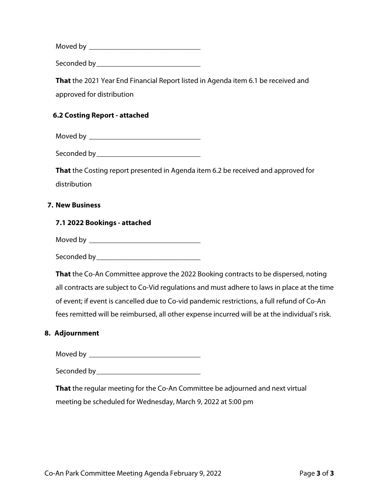Moved by \_\_\_\_\_\_\_\_\_\_\_\_\_\_\_\_\_\_\_\_\_\_\_\_\_\_\_\_\_\_

Seconded by\_\_\_\_\_\_\_\_\_\_\_\_\_\_\_\_\_\_\_\_\_\_\_\_\_\_\_\_

**That** the 2021 Year End Financial Report listed in Agenda item 6.1 be received and approved for distribution

#### **6.2 Costing Report - attached**

Moved by **Executive Service**  $\overline{a}$ 

Seconded by **Executive Seconded** by

**That** the Costing report presented in Agenda item 6.2 be received and approved for distribution

#### **7. New Business**

#### **7.1 2022 Bookings - attached**

Moved by \_\_\_\_\_\_\_\_\_\_\_\_\_\_\_\_\_\_\_\_\_\_\_\_\_\_\_\_\_\_

Seconded by\_\_\_\_\_\_\_\_\_\_\_\_\_\_\_\_\_\_\_\_\_\_\_\_\_\_\_\_

**That** the Co-An Committee approve the 2022 Booking contracts to be dispersed, noting all contracts are subject to Co-Vid regulations and must adhere to laws in place at the time of event; if event is cancelled due to Co-vid pandemic restrictions, a full refund of Co-An fees remitted will be reimbursed, all other expense incurred will be at the individual's risk.

#### **8. Adjournment**

Moved by \_\_\_\_\_\_\_\_\_\_\_\_\_\_\_\_\_\_\_\_\_\_\_\_\_\_\_\_\_\_

Seconded by **Exercise 20** 

**That** the regular meeting for the Co-An Committee be adjourned and next virtual meeting be scheduled for Wednesday, March 9, 2022 at 5:00 pm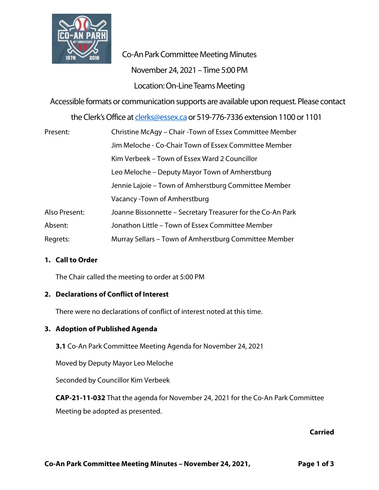

Co-An Park Committee Meeting Minutes November 24, 2021 –Time 5:00 PM Location: On-Line Teams Meeting

Accessible formats or communication supports are available upon request. Please contact

the Clerk's Office a[t clerks@essex.ca](mailto:clerks@essex.ca) or 519-776-7336 extension 1100 or 1101

| Present:      | Christine McAgy – Chair -Town of Essex Committee Member     |
|---------------|-------------------------------------------------------------|
|               | Jim Meloche - Co-Chair Town of Essex Committee Member       |
|               | Kim Verbeek – Town of Essex Ward 2 Councillor               |
|               | Leo Meloche – Deputy Mayor Town of Amherstburg              |
|               | Jennie Lajoie – Town of Amherstburg Committee Member        |
|               | Vacancy - Town of Amherstburg                               |
| Also Present: | Joanne Bissonnette - Secretary Treasurer for the Co-An Park |
| Absent:       | Jonathon Little - Town of Essex Committee Member            |
| Regrets:      | Murray Sellars – Town of Amherstburg Committee Member       |

#### **1. Call to Order**

The Chair called the meeting to order at 5:00 PM

#### **2. Declarations of Conflict of Interest**

There were no declarations of conflict of interest noted at this time.

#### **3. Adoption of Published Agenda**

**3.1** Co-An Park Committee Meeting Agenda for November 24, 2021

Moved by Deputy Mayor Leo Meloche

Seconded by Councillor Kim Verbeek

**CAP-21-11-032** That the agenda for November 24, 2021 for the Co-An Park Committee Meeting be adopted as presented.

#### **Carried**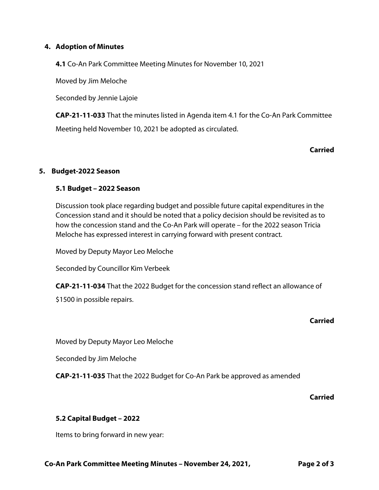#### **4. Adoption of Minutes**

**4.1** Co-An Park Committee Meeting Minutes for November 10, 2021

Moved by Jim Meloche

Seconded by Jennie Lajoie

**CAP-21-11-033** That the minutes listed in Agenda item 4.1 for the Co-An Park Committee Meeting held November 10, 2021 be adopted as circulated.

#### **Carried**

#### **5. Budget-2022 Season**

#### **5.1 Budget – 2022 Season**

Discussion took place regarding budget and possible future capital expenditures in the Concession stand and it should be noted that a policy decision should be revisited as to how the concession stand and the Co-An Park will operate – for the 2022 season Tricia Meloche has expressed interest in carrying forward with present contract.

Moved by Deputy Mayor Leo Meloche

Seconded by Councillor Kim Verbeek

**CAP-21-11-034** That the 2022 Budget for the concession stand reflect an allowance of

\$1500 in possible repairs.

#### **Carried**

Moved by Deputy Mayor Leo Meloche

Seconded by Jim Meloche

**CAP-21-11-035** That the 2022 Budget for Co-An Park be approved as amended

#### **Carried**

#### **5.2 Capital Budget – 2022**

Items to bring forward in new year: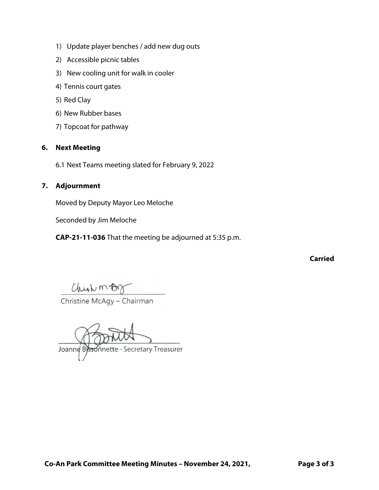- 1) Update player benches / add new dug outs
- 2) Accessible picnic tables
- 3) New cooling unit for walk in cooler
- 4) Tennis court gates
- 5) Red Clay
- 6) New Rubber bases
- 7) Topcoat for pathway

## **6. Next Meeting**

6.1 Next Teams meeting slated for February 9, 2022

### **7. Adjournment**

Moved by Deputy Mayor Leo Meloche

Seconded by Jim Meloche

**CAP-21-11-036** That the meeting be adjourned at 5:35 p.m.

**Carried**

 $Chu<sub>b</sub> m ~~BC~~  
Christine McAgy – Chairman$ </u>

Joanne Byssonnette - Secretary Treasurer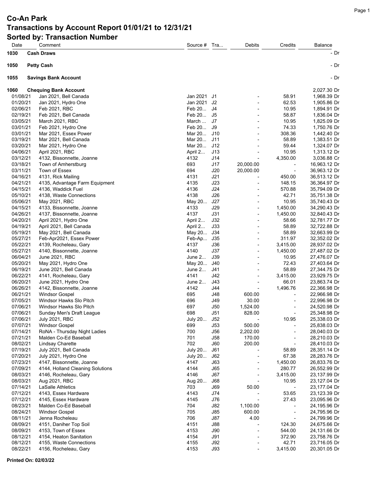| Date                 | Comment                                  | Source #           | Tra        | Debits                            | Credits                  | <b>Balance</b>               |
|----------------------|------------------------------------------|--------------------|------------|-----------------------------------|--------------------------|------------------------------|
| 1030                 | <b>Cash Draws</b>                        |                    |            |                                   |                          | - Dr                         |
|                      |                                          |                    |            |                                   |                          |                              |
| 1050                 | <b>Petty Cash</b>                        |                    |            |                                   |                          | - Dr                         |
| 1055                 | <b>Savings Bank Account</b>              |                    |            |                                   |                          | - Dr                         |
|                      |                                          |                    |            |                                   |                          |                              |
| 1060                 | <b>Chequing Bank Account</b>             |                    |            |                                   |                          | 2,027.30 Dr                  |
| 01/08/21             | Jan 2021, Bell Canada                    | Jan 2021           | J1         |                                   | 58.91                    | 1,968.39 Dr                  |
| 01/20/21<br>02/06/21 | Jan 2021, Hydro One                      | Jan 2021<br>Feb 20 | J2         |                                   | 62.53                    | 1,905.86 Dr                  |
|                      | Feb 2021, RBC                            | Feb 20             | J4<br>J5   |                                   | 10.95<br>58.87           | 1,894.91 Dr                  |
| 02/19/21<br>03/05/21 | Feb 2021, Bell Canada<br>March 2021, RBC | March              | J7         |                                   | 10.95                    | 1,836.04 Dr<br>1,825.09 Dr   |
| 03/01/21             | Feb 2021, Hydro One                      | Feb 20             | J9         |                                   | 74.33                    | 1,750.76 Dr                  |
| 03/01/21             | Mar 2021, Essex Power                    | Mar 20             | J10        | $\blacksquare$                    | 308.36                   | 1,442.40 Dr                  |
| 03/19/21             | Mar 2021, Bell Canada                    | Mar 20             | J11        |                                   | 58.89                    | 1,383.51 Dr                  |
| 03/20/21             | Mar 2021, Hydro One                      | Mar 20             | J12        |                                   | 59.44                    | 1,324.07 Dr                  |
| 04/06/21             | April 2021, RBC                          | April 2            | J13        |                                   | 10.95                    | 1,313.12 Dr                  |
| 03/12/21             | 4132, Bissonnette, Joanne                | 4132               | J14        | ÷,                                | 4,350.00                 | 3,036.88 Cr                  |
| 03/18/21             | Town of Amherstburg                      | 693                | J17        | 20,000.00                         |                          | 16,963.12 Dr                 |
| 03/11/21             | Town of Essex                            | 694                | J20        | 20,000.00                         | $\blacksquare$           | 36,963.12 Dr                 |
| 04/16/21             | 4131, Rick Mailing                       | 4131               | J21        | ÷,                                | 450.00                   | 36,513.12 Dr                 |
| 04/21/21             | 4135, Advantage Farm Equipment           | 4135               | J23        |                                   | 148.15                   | 36,364.97 Dr                 |
| 04/15/21             | 4136, Waddick Fuel                       | 4136               | J24        | $\overline{a}$                    | 570.88                   | 35,794.09 Dr                 |
| 05/10/21             | 4138, Waste Connections                  | 4138               | J26        | $\overline{a}$                    | 42.71                    | 35,751.38 Dr                 |
| 05/06/21             | May 2021, RBC                            | May 20             | J27        |                                   | 10.95                    | 35,740.43 Dr                 |
| 04/15/21             | 4133, Bissonnette, Joanne                | 4133               | J29        | $\blacksquare$                    | 1,450.00                 | 34,290.43 Dr                 |
| 04/26/21             | 4137, Bissonnette, Joanne                | 4137               | J31        | ÷,                                | 1,450.00                 | 32,840.43 Dr                 |
| 04/20/21             | April 2021, Hydro One                    | April 2            | J32        |                                   | 58.66                    | 32,781.77 Dr                 |
| 04/19/21             | April 2021, Bell Canada                  | April 2            | J33        | $\overline{a}$                    | 58.89                    | 32,722.88 Dr                 |
| 05/19/21             | May 2021, Bell Canada                    | May 20             | J34        | $\overline{a}$                    | 58.89                    | 32,663.99 Dr                 |
| 05/27/21             | Feb-Apr2021, Essex Power                 | Feb-Ap             | J35        |                                   | 311.97                   | 32,352.02 Dr                 |
| 05/22/21             | 4139, Rocheleau, Gary                    | 4137               | J36        | $\overline{\phantom{a}}$          | 3,415.00                 | 28,937.02 Dr                 |
| 05/27/21             | 4140, Bissonnette, Joanne                | 4140               | J37        | $\overline{a}$                    | 1,450.00                 | 27,487.02 Dr                 |
| 06/04/21             | June 2021, RBC                           | June 2             | J39        |                                   | 10.95                    | 27,476.07 Dr                 |
| 05/20/21             | May 2021, Hydro One                      | May 20             | J40        |                                   | 72.43                    | 27,403.64 Dr                 |
| 06/19/21             | June 2021, Bell Canada                   | June 2             | J41        | $\blacksquare$                    | 58.89                    | 27,344.75 Dr                 |
| 06/22/21             | 4141, Rocheleau, Gary                    | 4141               | J42        |                                   | 3,415.00                 | 23,929.75 Dr                 |
| 06/20/21             | June 2021, Hydro One                     | June $2$           | J43        | $\overline{\phantom{a}}$          | 66.01                    | 23,863.74 Dr                 |
| 06/26/21             | 4142, Bissonnette, Joanne                | 4142               | J44        | $\overline{a}$                    | 1,496.76                 | 22,366.98 Dr                 |
| 06/21/21             | <b>Windsor Gospel</b>                    | 695                | <b>J48</b> | 600.00                            |                          | 22,966.98 Dr                 |
| 07/05/21             | Windsor Hawks Slo Pitch                  | 696                | J49        | 30.00                             | $\overline{\phantom{a}}$ | 22,996.98 Dr                 |
| 07/06/21             | Windsor Hawks Slo Pitch                  | 697                | J50        | 1,524.00                          | $\overline{\phantom{a}}$ | 24,520.98 Dr                 |
| 07/06/21             | Sunday Men's Draft League                | 698                | J51        | 828.00                            | $\overline{\phantom{a}}$ | 25,348.98 Dr                 |
| 07/06/21             | <b>July 2021, RBC</b>                    | <b>July 20</b>     | J52        |                                   | 10.95                    | 25,338.03 Dr                 |
| 07/07/21             | <b>Windsor Gospel</b>                    | 699                | J53        | 500.00                            | $\overline{\phantom{a}}$ | 25,838.03 Dr                 |
| 07/14/21             | RoNA - Thursday Night Ladies             | 700                | J56        | 2,202.00                          |                          | 28,040.03 Dr                 |
| 07/21/21             | Malden Co-Ed Baseball                    | 701                | J58        | 170.00                            | $\overline{\phantom{a}}$ | 28,210.03 Dr                 |
| 08/02/21             | Lindsay Charette                         | 702                | J60        | 200.00                            | $\overline{\phantom{a}}$ | 28,410.03 Dr                 |
| 07/19/21             | July 2021, Bell Canada                   | July 20            | J61        |                                   | 58.89                    | 28,351.14 Dr                 |
| 07/20/21             | July 2021, Hydro One                     | July 20            | J62        |                                   | 67.38                    | 28,283.76 Dr                 |
| 07/23/21             | 4147, Bissonnette, Joanne                | 4147<br>4144       | J63        | $\overline{\phantom{a}}$          | 1,450.00                 | 26,833.76 Dr                 |
| 07/09/21<br>08/03/21 | 4144, Holland Cleaning Solutions         | 4146               | J65        |                                   | 280.77                   | 26,552.99 Dr                 |
| 08/03/21             | 4146, Rocheleau, Gary<br>Aug 2021, RBC   |                    | J67        | $\overline{a}$                    | 3,415.00<br>10.95        | 23,137.99 Dr                 |
| 07/14/21             | LaSalle Athletics                        | Aug 20<br>703      | J68<br>J69 | $\overline{\phantom{a}}$<br>50.00 | $\overline{\phantom{a}}$ | 23,127.04 Dr                 |
| 07/12/21             | 4143, Essex Hardware                     | 4143               | J74        |                                   | 53.65                    | 23,177.04 Dr<br>23,123.39 Dr |
| 07/12/21             | 4145, Essex Hardware                     | 4145               | J76        | $\overline{\phantom{a}}$          | 27.43                    | 23,095.96 Dr                 |
| 08/23/21             | Malden Co-Ed Baseball                    | 704                | J82        | 1,100.00                          |                          | 24,195.96 Dr                 |
| 08/24/21             | <b>Windsor Gospel</b>                    | 705                | J85        | 600.00                            | $\overline{\phantom{a}}$ | 24,795.96 Dr                 |
| 08/11/21             | Jenna Rocheleau                          | 706                | J87        | 4.00                              | $\overline{\phantom{a}}$ | 24,799.96 Dr                 |
| 08/09/21             | 4151, Daniher Top Soil                   | 4151               | J88        |                                   | 124.30                   | 24,675.66 Dr                 |
| 08/09/21             | 4153, Town of Essex                      | 4153               | J90        | $\overline{a}$                    | 544.00                   | 24,131.66 Dr                 |
| 08/12/21             | 4154, Heaton Sanitation                  | 4154               | J91        | ÷,                                | 372.90                   | 23,758.76 Dr                 |
| 08/12/21             | 4155, Waste Connections                  | 4155               | J92        |                                   | 42.71                    | 23,716.05 Dr                 |
| 08/22/21             | 4156, Rocheleau, Gary                    | 4153               | J93        | $\overline{\phantom{a}}$          | 3,415.00                 | 20,301.05 Dr                 |
|                      |                                          |                    |            |                                   |                          |                              |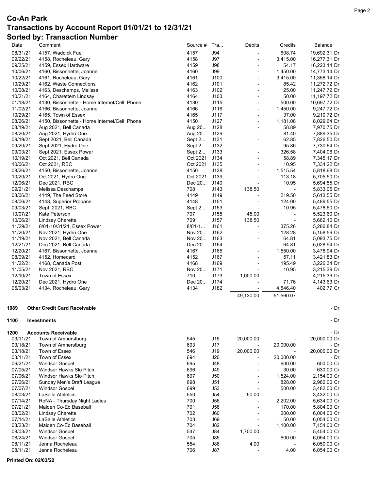| Date                 | Comment                                      | Source #   | Tra                      | <b>Debits</b>            | Credits                  | Balance                    |
|----------------------|----------------------------------------------|------------|--------------------------|--------------------------|--------------------------|----------------------------|
| 08/31/21             | 4157, Waddick Fuel                           | 4157       | <b>J94</b>               |                          | 608.74                   | 19,692.31 Dr               |
| 09/22/21             | 4158, Rocheleau, Gary                        | 4158       | <b>J97</b>               | ٠                        | 3,415.00                 | 16,277.31 Dr               |
| 09/25/21             | 4159, Essex Hardware                         | 4159       | J98                      | $\overline{a}$           | 54.17                    | 16,223.14 Dr               |
| 10/06/21             | 4160, Bissonnette, Joanne                    | 4160       | J99                      | $\overline{a}$           | 1,450.00                 | 14,773.14 Dr               |
| 10/22/21             | 4161, Rocheleau, Gary                        | 4161       | J100                     | $\overline{\phantom{0}}$ | 3,415.00                 | 11,358.14 Dr               |
| 10/29/21             | 4162, Waste Connections                      | 4162       | J101                     | $\overline{a}$           | 85.42                    | 11,272.72 Dr               |
| 10/08/21             | 4163, Deschamps, Melissa                     | 4163       | J102                     | ٠                        | 25.00                    | 11,247.72 Dr               |
| 10/21/21             | 4164, Charettem Lindsay                      | 4164       | J103                     | ٠                        | 50.00                    | 11,197.72 Dr               |
| 01/18/21             | 4130, Bissonnette - Home Internet/Cell Phone | 4130       | J115                     | ٠                        | 500.00                   | 10,697.72 Dr               |
| 11/02/21             | 4166, Bissonnette, Joanne                    | 4166       | J116                     | $\overline{a}$           | 1,450.00                 | 9,247.72 Dr                |
| 10/29/21             | 4165, Town of Essex                          | 4165       | J117                     | $\overline{a}$           | 37.00                    | 9,210.72 Dr                |
| 08/26/21             | 4150, Bissonnette - Home Internet/Cell Phone | 4150       | J127                     | $\overline{a}$           | 1,181.08                 | 8,029.64 Dr                |
| 08/19/21             | Aug 2021, Bell Canada                        | Aug 20     | J128                     |                          | 58.89                    | 7,970.75 Dr                |
| 08/20/21             | Aug 2021, Hydro One                          | Aug 20     | J129                     | ٠                        | 81.40                    | 7,889.35 Dr                |
| 09/19/21             | Sept 2021, Bell Canada                       | Sept 2     | J131                     | ٠                        | 62.85                    | 7,826.50 Dr                |
| 09/20/21             | Sept 2021, Hydro One                         | Sept 2     | J132                     |                          | 95.86                    | 7,730.64 Dr                |
| 09/03/21             | Sept 2021, Essex Power                       | Sept 2     | J133                     | $\overline{a}$           | 326.58                   | 7,404.06 Dr                |
| 10/19/21             | Oct 2021, Bell Canada                        | Oct 2021   | J134                     | ٠                        | 58.89                    | 7,345.17 Dr                |
| 10/06/21             | Oct 2021, RBC                                | Oct 2021   | J135                     |                          | 10.95                    | 7,334.22 Dr                |
| 08/26/21             | 4150, Bissonnette, Joanne                    | 4150       | J138                     | $\overline{a}$           | 1,515.54                 | 5,818.68 Dr                |
| 10/20/21             | Oct 2021, Hydro One                          | Oct 2021   | J139                     | ٠                        | 113.18                   | 5,705.50 Dr                |
| 12/06/21             | Dec 2021, RBC                                | Dec 20     | J140                     |                          | 10.95                    | 5,694.55 Dr                |
| 09/21/21             | Melissa Deschamps                            | 708        | J143                     | 138.50                   | $\overline{\phantom{a}}$ | 5,833.05 Dr                |
| 08/06/21             | 4149, The Feed Store                         | 4149       | J149                     |                          | 219.50                   | 5,613.55 Dr                |
| 08/06/21             | 4148, Superior Propane                       | 4148       | J151                     | ٠                        | 124.00                   | 5,489.55 Dr                |
| 09/03/21             | Sept 2021, RBC                               | Sept $2$   | J153                     | $\overline{a}$           | 10.95                    | 5,478.60 Dr                |
| 10/07/21             | Kate Peterson                                | 707        | J155                     | 45.00                    |                          | 5,523.60 Dr                |
| 10/06/21             | Lindsay Charette                             | 709        | J157                     | 138.50                   | $\blacksquare$           | 5,662.10 Dr                |
| 11/29/21             | 8/01-10/31/21, Essex Power                   | $8/01 - 1$ | J161                     | ٠                        | 375.26                   | 5,286.84 Dr                |
| 11/20/21             | Nov 2021, Hydro One                          | Nov 20     | J162                     | ٠                        | 128.28                   | 5,158.56 Dr                |
| 11/19/21             | Nov 2021, Bell Canada                        | Nov 20     | J163                     |                          | 64.81                    | 5,093.75 Dr                |
| 12/21/21             | Dec 2021, Bell Canada                        | Dec 20     | J164                     | ٠                        | 64.81                    | 5,028.94 Dr                |
| 12/20/21             | 4167, Bissonnette, Joanne                    | 4167       | J165                     | $\overline{a}$           | 1,550.00                 | 3,478.94 Dr                |
| 08/09/21             | 4152, Homecard                               | 4152       | J167                     | ٠                        | 57.11                    | 3,421.83 Dr                |
| 11/22/21             | 4168, Canada Post                            | 4168       | J169                     | ٠                        | 195.49                   | 3,226.34 Dr                |
| 11/05/21             | Nov 2021, RBC                                | Nov 20     | J171                     |                          | 10.95                    | 3,215.39 Dr                |
| 12/10/21             | Town of Essex                                | 710        | J173                     | 1,000.00                 |                          | 4,215.39 Dr                |
| 12/20/21             | Dec 2021, Hydro One                          | Dec 20     | J174                     |                          | 71.76                    | 4,143.63 Dr                |
| 05/03/21             | 4134, Rocheleau, Gary                        | 4134       | J182                     |                          | 4,546.40                 | 402.77 Cr                  |
|                      |                                              |            |                          | 49,130.00                | 51,560.07                |                            |
| 1089                 | <b>Other Credit Card Receivable</b>          |            |                          |                          |                          | - Dr                       |
| 1100                 | Investments                                  |            |                          |                          |                          | - Dr                       |
| 1200                 | <b>Accounts Receivable</b>                   |            |                          |                          |                          | - Dr                       |
| 03/11/21             | Town of Amherstburg                          | 545        | J15                      | 20,000.00                |                          | 20,000.00 Dr               |
| 03/18/21             | Town of Amherstburg                          | 693        | J17                      | $\overline{\phantom{a}}$ | 20,000.00                | - Dr                       |
| 03/18/21             | Town of Essex                                | 546        | J19                      | 20,000.00                |                          | 20,000.00 Dr               |
| 03/11/21             | Town of Essex                                | 694        | J20                      |                          | 20,000.00                | - Dr                       |
| 06/21/21             | <b>Windsor Gospel</b>                        | 695        | J48                      | $\overline{\phantom{a}}$ | 600.00                   | 600.00 Cr                  |
| 07/05/21             | Windsor Hawks Slo Pitch                      | 696        | J49                      | $\overline{\phantom{a}}$ | 30.00                    | 630.00 Cr                  |
| 07/06/21             | Windsor Hawks Slo Pitch                      | 697        | J50                      |                          | 1,524.00                 | 2,154.00 Cr                |
| 07/06/21             | Sunday Men's Draft League                    | 698        | J51                      | $\overline{\phantom{0}}$ | 828.00                   | 2,982.00 Cr                |
| 07/07/21             | <b>Windsor Gospel</b>                        | 699        | J53                      |                          | 500.00                   | 3,482.00 Cr                |
| 08/03/21             | <b>LaSalle Athletics</b>                     | 550        | J54                      | 50.00                    |                          | 3,432.00 Cr                |
| 07/14/21             | RoNA - Thursday Night Ladies                 | 700        | <b>J56</b>               |                          | 2,202.00                 | 5,634.00 Cr                |
| 07/21/21             | Malden Co-Ed Baseball                        | 701        | <b>J58</b>               | $\overline{\phantom{0}}$ | 170.00                   | 5,804.00 Cr                |
| 08/02/21             | Lindsay Charette                             | 702        | J60                      |                          | 200.00                   | 6,004.00 Cr                |
| 07/14/21             | <b>LaSalle Athletics</b>                     | 703        | <b>J69</b>               | $\overline{a}$           | 50.00                    | 6,054.00 Cr                |
| 08/23/21             | Malden Co-Ed Baseball                        | 704        | <b>J82</b>               |                          | 1,100.00                 | 7,154.00 Cr                |
| 08/03/21             | <b>Windsor Gospel</b>                        | 547        | <b>J84</b>               | 1,700.00                 |                          | 5,454.00 Cr                |
|                      | <b>Windsor Gospel</b>                        | 705        | <b>J85</b>               |                          | 600.00                   | 6,054.00 Cr                |
| 08/24/21             |                                              |            |                          |                          |                          |                            |
| 08/11/21<br>08/11/21 | Jenna Rocheleau<br>Jenna Rocheleau           | 554<br>706 | <b>J86</b><br><b>J87</b> | 4.00                     | 4.00                     | 6,050.00 Cr<br>6,054.00 Cr |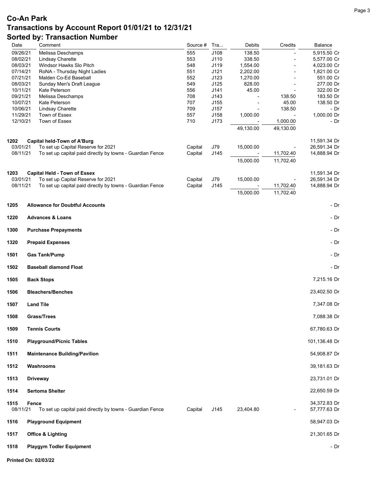| Date                 | Comment                                                                                         | Source #           | Tra          | Debits             | Credits                  | Balance                      |
|----------------------|-------------------------------------------------------------------------------------------------|--------------------|--------------|--------------------|--------------------------|------------------------------|
| 09/26/21             | Melissa Deschamps                                                                               | 555                | J108         | 138.50             |                          | 5,915.50 Cr                  |
| 08/02/21             | Lindsay Charette                                                                                | 553                | J110         | 338.50             |                          | 5,577.00 Cr                  |
| 08/03/21             | Windsor Hawks Slo Pitch                                                                         | 548                | J119         | 1,554.00           | ÷,                       | 4,023.00 Cr                  |
| 07/14/21             | RoNA - Thursday Night Ladies                                                                    | 551                | J121         | 2,202.00           |                          | 1,821.00 Cr                  |
| 07/21/21<br>08/03/21 | Malden Co-Ed Baseball<br>Sunday Men's Draft League                                              | 552<br>549         | J123<br>J125 | 1,270.00<br>828.00 | L,                       | 551.00 Cr<br>277.00 Dr       |
| 10/11/21             | Kate Peterson                                                                                   | 556                | J141         | 45.00              | $\overline{\phantom{a}}$ | 322.00 Dr                    |
| 09/21/21             | Melissa Deschamps                                                                               | 708                | J143         |                    | 138.50                   | 183.50 Dr                    |
| 10/07/21             | Kate Peterson                                                                                   | 707                | J155         | $\overline{a}$     | 45.00                    | 138.50 Dr                    |
| 10/06/21             | Lindsay Charette                                                                                | 709                | J157         |                    | 138.50                   | - Dr                         |
| 11/29/21             | Town of Essex                                                                                   | 557                | J158         | 1,000.00           |                          | 1,000.00 Dr                  |
| 12/10/21             | Town of Essex                                                                                   | 710                | J173         |                    | 1,000.00                 | - Dr                         |
|                      |                                                                                                 |                    |              | 49,130.00          | 49,130.00                |                              |
|                      |                                                                                                 |                    |              |                    |                          |                              |
| 1202                 | Capital held-Town of A'Burg                                                                     |                    |              |                    |                          | 11,591.34 Dr                 |
| 03/01/21<br>08/11/21 | To set up Capital Reserve for 2021<br>To set up capital paid directly by towns - Guardian Fence | Capital<br>Capital | J79<br>J145  | 15,000.00          | 11,702.40                | 26,591.34 Dr<br>14,888.94 Dr |
|                      |                                                                                                 |                    |              |                    |                          |                              |
|                      |                                                                                                 |                    |              | 15,000.00          | 11,702.40                |                              |
| 1203                 | <b>Capital Held - Town of Essex</b>                                                             |                    |              |                    |                          | 11,591.34 Dr                 |
| 03/01/21             | To set up Capital Reserve for 2021                                                              | Capital            | J79          | 15,000.00          |                          | 26,591.34 Dr                 |
| 08/11/21             | To set up capital paid directly by towns - Guardian Fence                                       | Capital            | J145         |                    | 11,702.40                | 14,888.94 Dr                 |
|                      |                                                                                                 |                    |              | 15,000.00          | 11,702.40                |                              |
| 1205                 | <b>Allowance for Doubtful Accounts</b>                                                          |                    |              |                    |                          | - Dr                         |
| 1220                 | <b>Advances &amp; Loans</b>                                                                     |                    |              |                    |                          | - Dr                         |
| 1300                 | <b>Purchase Prepayments</b>                                                                     |                    |              |                    |                          | - Dr                         |
| 1320                 |                                                                                                 |                    |              |                    |                          | - Dr                         |
|                      | <b>Prepaid Expenses</b>                                                                         |                    |              |                    |                          |                              |
| 1501                 | <b>Gas Tank/Pump</b>                                                                            |                    |              |                    |                          | - Dr                         |
| 1502                 | <b>Baseball diamond Float</b>                                                                   |                    |              |                    |                          | - Dr                         |
| 1505                 | <b>Back Stops</b>                                                                               |                    |              |                    |                          | 7,215.16 Dr                  |
| 1506                 | <b>Bleachers/Benches</b>                                                                        |                    |              |                    |                          | 23,402.50 Dr                 |
| 1507                 | <b>Land Tile</b>                                                                                |                    |              |                    |                          | 7,347.08 Dr                  |
| 1508                 | Grass/Trees                                                                                     |                    |              |                    |                          | 7,088.38 Dr                  |
| 1509                 | <b>Tennis Courts</b>                                                                            |                    |              |                    |                          | 67,780.63 Dr                 |
| 1510                 | <b>Playground/Picnic Tables</b>                                                                 |                    |              |                    |                          | 101,136.48 Dr                |
| 1511                 | <b>Maintenance Building/Pavilion</b>                                                            |                    |              |                    |                          | 54,908.87 Dr                 |
| 1512                 | Washrooms                                                                                       |                    |              |                    |                          | 39,181.63 Dr                 |
| 1513                 | <b>Driveway</b>                                                                                 |                    |              |                    |                          | 23,731.01 Dr                 |
| 1514                 | <b>Sertoma Shelter</b>                                                                          |                    |              |                    |                          | 22,650.59 Dr                 |
| 1515<br>08/11/21     | Fence<br>To set up capital paid directly by towns - Guardian Fence                              | Capital            | J145         | 23,404.80          |                          | 34,372.83 Dr<br>57,777.63 Dr |
| 1516                 | <b>Playground Equipment</b>                                                                     |                    |              |                    |                          | 58,947.03 Dr                 |
| 1517                 | <b>Office &amp; Lighting</b>                                                                    |                    |              |                    |                          | 21,301.65 Dr                 |
| 1518                 | <b>Playgym Todler Equipment</b>                                                                 |                    |              |                    |                          | - Dr                         |
|                      | Printed On: 02/03/22                                                                            |                    |              |                    |                          |                              |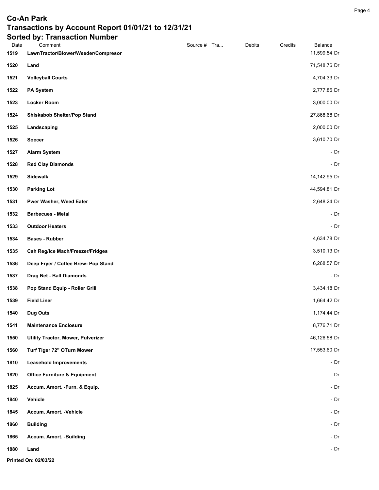| Date | ortoa wy<br><b>HANSASHAH HANDO</b><br>Comment | Source # Tra | Debits | Credits | Balance      |
|------|-----------------------------------------------|--------------|--------|---------|--------------|
| 1519 | LawnTractor/Blower/Weeder/Compresor           |              |        |         | 11,599.54 Dr |
| 1520 | Land                                          |              |        |         | 71,548.76 Dr |
| 1521 | <b>Volleyball Courts</b>                      |              |        |         | 4,704.33 Dr  |
| 1522 | <b>PA System</b>                              |              |        |         | 2,777.86 Dr  |
| 1523 | <b>Locker Room</b>                            |              |        |         | 3,000.00 Dr  |
| 1524 | <b>Shiskabob Shelter/Pop Stand</b>            |              |        |         | 27,868.68 Dr |
| 1525 | Landscaping                                   |              |        |         | 2,000.00 Dr  |
| 1526 | Soccer                                        |              |        |         | 3,610.70 Dr  |
| 1527 | <b>Alarm System</b>                           |              |        |         | $-Dr$        |
| 1528 | <b>Red Clay Diamonds</b>                      |              |        |         | $-Dr$        |
| 1529 | Sidewalk                                      |              |        |         | 14,142.95 Dr |
| 1530 | <b>Parking Lot</b>                            |              |        |         | 44,594.81 Dr |
| 1531 | Pwer Washer, Weed Eater                       |              |        |         | 2,648.24 Dr  |
| 1532 | <b>Barbecues - Metal</b>                      |              |        |         | $-Dr$        |
| 1533 | <b>Outdoor Heaters</b>                        |              |        |         | - Dr         |
| 1534 | <b>Bases - Rubber</b>                         |              |        |         | 4,634.78 Dr  |
| 1535 | <b>Csh Reg/Ice Mach/Freezer/Fridges</b>       |              |        |         | 3,510.13 Dr  |
| 1536 | Deep Fryer / Coffee Brew- Pop Stand           |              |        |         | 6,268.57 Dr  |
| 1537 | Drag Net - Ball Diamonds                      |              |        |         | $-Dr$        |
| 1538 | Pop Stand Equip - Roller Grill                |              |        |         | 3,434.18 Dr  |
| 1539 | <b>Field Liner</b>                            |              |        |         | 1,664.42 Dr  |
| 1540 | <b>Dug Outs</b>                               |              |        |         | 1,174.44 Dr  |
| 1541 | <b>Maintenance Enclosure</b>                  |              |        |         | 8,776.71 Dr  |
| 1550 | Utility Tractor, Mower, Pulverizer            |              |        |         | 46,126.58 Dr |
| 1560 | Turf Tiger 72" OTurn Mower                    |              |        |         | 17,553.60 Dr |
| 1810 | <b>Leasehold Improvements</b>                 |              |        |         | - Dr         |
| 1820 | <b>Office Furniture &amp; Equipment</b>       |              |        |         | $-Dr$        |
| 1825 | Accum. Amort. - Furn. & Equip.                |              |        |         | $-Dr$        |
| 1840 | Vehicle                                       |              |        |         | - Dr         |
| 1845 | Accum. Amort. - Vehicle                       |              |        |         | - $Dr$       |
| 1860 | <b>Building</b>                               |              |        |         | $-Dr$        |
| 1865 | Accum. Amort. - Building                      |              |        |         | $-Dr$        |
| 1880 | Land                                          |              |        |         | - $Dr$       |
|      | Printed On: 02/03/22                          |              |        |         |              |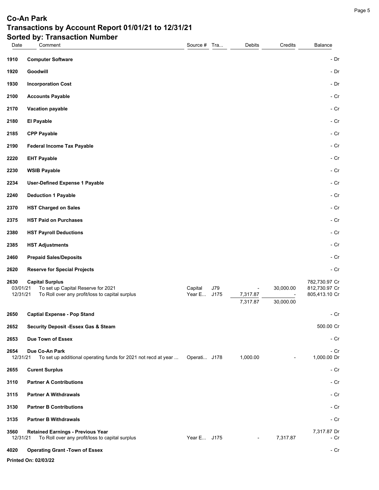| Date             | Comment                                                                                     | Source # Tra |      | Debits                   | Credits        | Balance                        |  |
|------------------|---------------------------------------------------------------------------------------------|--------------|------|--------------------------|----------------|--------------------------------|--|
| 1910             | <b>Computer Software</b>                                                                    |              |      |                          |                | - Dr                           |  |
| 1920             | Goodwill                                                                                    |              |      |                          |                | - Dr                           |  |
| 1930             | <b>Incorporation Cost</b>                                                                   |              |      |                          |                | - Dr                           |  |
| 2100             | <b>Accounts Payable</b>                                                                     |              |      |                          |                | - Cr                           |  |
| 2170             | Vacation payable                                                                            |              |      |                          |                | - Cr                           |  |
| 2180             | El Payable                                                                                  |              |      |                          |                | - Cr                           |  |
| 2185             | <b>CPP Payable</b>                                                                          |              |      |                          |                | - Cr                           |  |
| 2190             | <b>Federal Income Tax Payable</b>                                                           |              |      |                          |                | - Cr                           |  |
| 2220             | <b>EHT Payable</b>                                                                          |              |      |                          |                | - Cr                           |  |
| 2230             | <b>WSIB Payable</b>                                                                         |              |      |                          |                | - Cr                           |  |
| 2234             | <b>User-Defined Expense 1 Payable</b>                                                       |              |      |                          |                | - Cr                           |  |
| 2240             | <b>Deduction 1 Payable</b>                                                                  |              |      |                          |                | - Cr                           |  |
| 2370             | <b>HST Charged on Sales</b>                                                                 |              |      |                          |                | - Cr                           |  |
| 2375             | <b>HST Paid on Purchases</b>                                                                |              |      |                          |                | - Cr                           |  |
| 2380             | <b>HST Payroll Deductions</b>                                                               |              |      |                          |                | - Cr                           |  |
| 2385             | <b>HST Adjustments</b>                                                                      |              |      |                          |                | - Cr                           |  |
| 2460             | <b>Prepaid Sales/Deposits</b>                                                               |              |      |                          |                | - Cr                           |  |
| 2620             | <b>Reserve for Special Projects</b>                                                         |              |      |                          |                | - Cr                           |  |
| 2630<br>03/01/21 | <b>Capital Surplus</b><br>To set up Capital Reserve for 2021                                | Capital      | J79  |                          | 30,000.00      | 782,730.97 Cr<br>812,730.97 Cr |  |
| 12/31/21         | To Roll over any profit/loss to capital surplus                                             | Year E       | J175 | 7,317.87                 |                | 805,413.10 Cr                  |  |
|                  |                                                                                             |              |      | 7,317.87                 | 30,000.00      |                                |  |
| 2650             | <b>Captial Expense - Pop Stand</b>                                                          |              |      |                          |                | - Cr                           |  |
| 2652             | <b>Security Deposit -Essex Gas &amp; Steam</b><br>Due Town of Essex                         |              |      |                          |                | 500.00 Cr<br>- Cr              |  |
| 2653<br>2654     | Due Co-An Park                                                                              |              |      |                          |                | - Cr                           |  |
| 12/31/21         | To set up additional operating funds for 2021 not recd at year                              | Operati J178 |      | 1,000.00                 | $\blacksquare$ | 1,000.00 Dr                    |  |
| 2655             | <b>Curent Surplus</b>                                                                       |              |      |                          |                | - Cr                           |  |
| 3110             | <b>Partner A Contributions</b>                                                              |              |      |                          |                | - Cr                           |  |
| 3115             | <b>Partner A Withdrawals</b>                                                                |              |      |                          |                | - Cr                           |  |
| 3130             | <b>Partner B Contributions</b>                                                              |              |      |                          |                | - Cr                           |  |
| 3135             | <b>Partner B Withdrawals</b>                                                                |              |      |                          |                | - Cr                           |  |
| 3560<br>12/31/21 | <b>Retained Earnings - Previous Year</b><br>To Roll over any profit/loss to capital surplus | Year E J175  |      | $\overline{\phantom{a}}$ | 7,317.87       | 7,317.87 Dr<br>- Cr            |  |
| 4020             | <b>Operating Grant -Town of Essex</b>                                                       |              |      |                          |                | - Cr                           |  |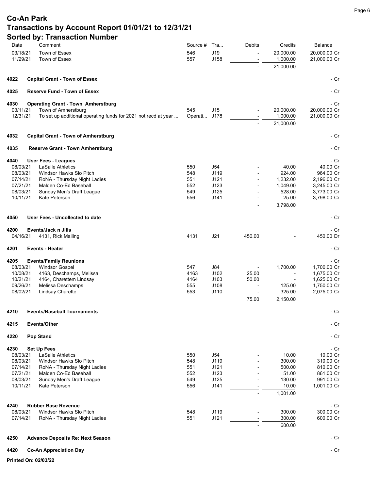| Date                 | Comment                                                        | Source #   | Tra          | <b>Debits</b> | Credits            | Balance                    |
|----------------------|----------------------------------------------------------------|------------|--------------|---------------|--------------------|----------------------------|
| 03/18/21             | Town of Essex                                                  | 546        | J19          |               | 20,000.00          | 20,000.00 Cr               |
| 11/29/21             | Town of Essex                                                  | 557        | J158         |               | 1,000.00           | 21,000.00 Cr               |
|                      |                                                                |            |              |               | 21,000.00          |                            |
| 4022                 | <b>Capital Grant - Town of Essex</b>                           |            |              |               |                    | - Cr                       |
| 4025                 | <b>Reserve Fund - Town of Essex</b>                            |            |              |               |                    | - Cr                       |
| 4030                 | <b>Operating Grant - Town Amherstburg</b>                      |            |              |               |                    | - Cr                       |
| 03/11/21             | Town of Amherstburg                                            | 545        | J15          |               | 20,000.00          | 20,000.00 Cr               |
| 12/31/21             | To set up additional operating funds for 2021 not recd at year | Operati    | J178         |               | 1,000.00           | 21,000.00 Cr               |
|                      |                                                                |            |              |               | 21,000.00          |                            |
| 4032                 | <b>Capital Grant - Town of Amherstburg</b>                     |            |              |               |                    | - Cr                       |
| 4035                 | <b>Reserve Grant - Town Amherstburg</b>                        |            |              |               |                    | - Cr                       |
| 4040                 | <b>User Fees - Leagues</b>                                     |            |              |               |                    | - Cr                       |
| 08/03/21             | <b>LaSalle Athletics</b>                                       | 550        | J54          |               | 40.00              | 40.00 Cr                   |
| 08/03/21             | Windsor Hawks Slo Pitch                                        | 548        | J119         |               | 924.00             | 964.00 Cr                  |
| 07/14/21             | RoNA - Thursday Night Ladies                                   | 551        | J121         |               | 1,232.00           | 2,196.00 Cr                |
| 07/21/21<br>08/03/21 | Malden Co-Ed Baseball<br>Sunday Men's Draft League             | 552<br>549 | J123<br>J125 |               | 1,049.00<br>528.00 | 3,245.00 Cr<br>3,773.00 Cr |
| 10/11/21             | Kate Peterson                                                  | 556        | J141         |               | 25.00              | 3,798.00 Cr                |
|                      |                                                                |            |              |               | 3,798.00           |                            |
| 4050                 | User Fees - Uncollected to date                                |            |              |               |                    | - Cr                       |
|                      |                                                                |            |              |               |                    |                            |
| 4200<br>04/16/21     | Events/Jack n Jills<br>4131, Rick Mailing                      | 4131       | J21          | 450.00        |                    | - Cr<br>450.00 Dr          |
|                      |                                                                |            |              |               |                    |                            |
| 4201                 | <b>Events - Heater</b>                                         |            |              |               |                    | - Cr                       |
| 4205                 | <b>Events/Family Reunions</b>                                  |            |              |               |                    | - Cr                       |
| 08/03/21             | <b>Windsor Gospel</b>                                          | 547        | <b>J84</b>   |               | 1,700.00           | 1,700.00 Cr                |
| 10/08/21             | 4163, Deschamps, Melissa                                       | 4163       | J102         | 25.00         | $\overline{a}$     | 1,675.00 Cr                |
| 10/21/21             | 4164, Charettem Lindsay                                        | 4164       | J103         | 50.00         |                    | 1,625.00 Cr                |
| 09/26/21<br>08/02/21 | Melissa Deschamps                                              | 555<br>553 | J108<br>J110 |               | 125.00<br>325.00   | 1,750.00 Cr<br>2,075.00 Cr |
|                      | Lindsay Charette                                               |            |              | 75.00         | 2,150.00           |                            |
| 4210                 | <b>Events/Baseball Tournaments</b>                             |            |              |               |                    | - Cr                       |
| 4215                 | Events/Other                                                   |            |              |               |                    | - Cr                       |
|                      |                                                                |            |              |               |                    |                            |
| 4220                 | <b>Pop Stand</b>                                               |            |              |               |                    | - Cr                       |
| 4230                 | <b>Set Up Fees</b>                                             |            |              |               |                    | - Cr                       |
| 08/03/21             | <b>LaSalle Athletics</b>                                       | 550        | J54          |               | 10.00              | 10.00 Cr                   |
| 08/03/21<br>07/14/21 | Windsor Hawks Slo Pitch<br>RoNA - Thursday Night Ladies        | 548<br>551 | J119<br>J121 |               | 300.00<br>500.00   | 310.00 Cr<br>810.00 Cr     |
| 07/21/21             | Malden Co-Ed Baseball                                          | 552        | J123         |               | 51.00              | 861.00 Cr                  |
| 08/03/21             | Sunday Men's Draft League                                      | 549        | J125         |               | 130.00             | 991.00 Cr                  |
| 10/11/21             | Kate Peterson                                                  | 556        | J141         |               | 10.00              | 1,001.00 Cr                |
|                      |                                                                |            |              |               | 1.001.00           |                            |
|                      |                                                                |            |              |               |                    |                            |
| 4240                 | <b>Rubber Base Revenue</b>                                     |            |              |               |                    | - Cr                       |
| 08/03/21             | Windsor Hawks Slo Pitch                                        | 548        | J119         |               | 300.00             | 300.00 Cr                  |
| 07/14/21             | RoNA - Thursday Night Ladies                                   | 551        | J121         |               | 300.00             | 600.00 Cr                  |
|                      |                                                                |            |              |               | 600.00             |                            |
| 4250                 | <b>Advance Deposits Re: Next Season</b>                        |            |              |               |                    | - Cr                       |
| 4420                 | <b>Co-An Appreciation Day</b>                                  |            |              |               |                    | - Cr                       |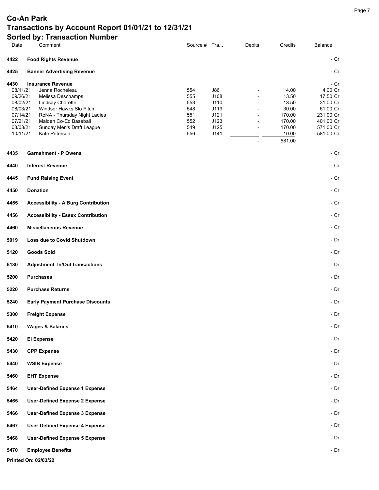| Date                                                                                                 | <b>OULGU DY. THANSACHUIL NUMBER</b><br>Comment                                                                                                                                                                         | Source # Tra                                         |                                                             | Debits | Credits                                                                          | Balance                                                                                                 |
|------------------------------------------------------------------------------------------------------|------------------------------------------------------------------------------------------------------------------------------------------------------------------------------------------------------------------------|------------------------------------------------------|-------------------------------------------------------------|--------|----------------------------------------------------------------------------------|---------------------------------------------------------------------------------------------------------|
| 4422                                                                                                 | <b>Food Rights Revenue</b>                                                                                                                                                                                             |                                                      |                                                             |        |                                                                                  | - Cr                                                                                                    |
| 4425                                                                                                 | <b>Banner Advertising Revenue</b>                                                                                                                                                                                      |                                                      |                                                             |        |                                                                                  | - Cr                                                                                                    |
| 4430<br>08/11/21<br>09/26/21<br>08/02/21<br>08/03/21<br>07/14/21<br>07/21/21<br>08/03/21<br>10/11/21 | <b>Insurance Revenue</b><br>Jenna Rocheleau<br>Melissa Deschamps<br>Lindsay Charette<br>Windsor Hawks Slo Pitch<br>RoNA - Thursday Night Ladies<br>Malden Co-Ed Baseball<br>Sunday Men's Draft League<br>Kate Peterson | 554<br>555<br>553<br>548<br>551<br>552<br>549<br>556 | J86<br>J108<br>J110<br>J119<br>J121<br>J123<br>J125<br>J141 |        | 4.00<br>13.50<br>13.50<br>30.00<br>170.00<br>170.00<br>170.00<br>10.00<br>581.00 | - Cr<br>4.00 Cr<br>17.50 Cr<br>31.00 Cr<br>61.00 Cr<br>231.00 Cr<br>401.00 Cr<br>571.00 Cr<br>581.00 Cr |
| 4435                                                                                                 | <b>Garnshment - P Owens</b>                                                                                                                                                                                            |                                                      |                                                             |        |                                                                                  | - Cr                                                                                                    |
| 4440                                                                                                 | <b>Interest Revenue</b>                                                                                                                                                                                                |                                                      |                                                             |        |                                                                                  | - Cr                                                                                                    |
| 4445                                                                                                 | <b>Fund Raising Event</b>                                                                                                                                                                                              |                                                      |                                                             |        |                                                                                  | $- Cr$                                                                                                  |
| 4450                                                                                                 | <b>Donation</b>                                                                                                                                                                                                        |                                                      |                                                             |        |                                                                                  | - Cr                                                                                                    |
| 4455                                                                                                 | <b>Accessibility - A'Burg Contribution</b>                                                                                                                                                                             |                                                      |                                                             |        |                                                                                  | - Cr                                                                                                    |
| 4456                                                                                                 | <b>Accessibility - Essex Contribution</b>                                                                                                                                                                              |                                                      |                                                             |        |                                                                                  | $- Cr$                                                                                                  |
| 4460                                                                                                 | <b>Miscellaneous Revenue</b>                                                                                                                                                                                           |                                                      |                                                             |        |                                                                                  | - Cr                                                                                                    |
| 5019                                                                                                 | Loss due to Covid Shutdown                                                                                                                                                                                             |                                                      |                                                             |        |                                                                                  | - Dr                                                                                                    |
| 5120                                                                                                 | <b>Goods Sold</b>                                                                                                                                                                                                      |                                                      |                                                             |        |                                                                                  | - Dr                                                                                                    |
| 5130                                                                                                 | Adjustment In/Out transactions                                                                                                                                                                                         |                                                      |                                                             |        |                                                                                  | - Dr                                                                                                    |
| 5200                                                                                                 | <b>Purchases</b>                                                                                                                                                                                                       |                                                      |                                                             |        |                                                                                  | - Dr                                                                                                    |
| 5220                                                                                                 | <b>Purchase Returns</b>                                                                                                                                                                                                |                                                      |                                                             |        |                                                                                  | - Dr                                                                                                    |
| 5240                                                                                                 | <b>Early Payment Purchase Discounts</b>                                                                                                                                                                                |                                                      |                                                             |        |                                                                                  | - Dr                                                                                                    |
| 5300                                                                                                 | <b>Freight Expense</b>                                                                                                                                                                                                 |                                                      |                                                             |        |                                                                                  | - Dr                                                                                                    |
| 5410                                                                                                 | <b>Wages &amp; Salaries</b>                                                                                                                                                                                            |                                                      |                                                             |        |                                                                                  | $-Dr$                                                                                                   |
| 5420                                                                                                 | <b>El Expense</b>                                                                                                                                                                                                      |                                                      |                                                             |        |                                                                                  | $-Dr$                                                                                                   |
| 5430                                                                                                 | <b>CPP Expense</b>                                                                                                                                                                                                     |                                                      |                                                             |        |                                                                                  | $-Dr$                                                                                                   |
| 5440                                                                                                 | <b>WSIB Expense</b>                                                                                                                                                                                                    |                                                      |                                                             |        |                                                                                  | $-Dr$                                                                                                   |
| 5460                                                                                                 | <b>EHT Expense</b>                                                                                                                                                                                                     |                                                      |                                                             |        |                                                                                  | $-Dr$                                                                                                   |
| 5464                                                                                                 | <b>User-Defined Expense 1 Expense</b>                                                                                                                                                                                  |                                                      |                                                             |        |                                                                                  | $-Dr$                                                                                                   |
| 5465                                                                                                 | <b>User-Defined Expense 2 Expense</b>                                                                                                                                                                                  |                                                      |                                                             |        |                                                                                  | $-Dr$                                                                                                   |
| 5466                                                                                                 | <b>User-Defined Expense 3 Expense</b>                                                                                                                                                                                  |                                                      |                                                             |        |                                                                                  | - Dr                                                                                                    |
| 5467                                                                                                 | <b>User-Defined Expense 4 Expense</b>                                                                                                                                                                                  |                                                      |                                                             |        |                                                                                  | $-Dr$                                                                                                   |
| 5468                                                                                                 | <b>User-Defined Expense 5 Expense</b>                                                                                                                                                                                  |                                                      |                                                             |        |                                                                                  | $-Dr$                                                                                                   |
| 5470                                                                                                 | <b>Employee Benefits</b>                                                                                                                                                                                               |                                                      |                                                             |        |                                                                                  | - Dr                                                                                                    |
|                                                                                                      | Printed On: 02/03/22                                                                                                                                                                                                   |                                                      |                                                             |        |                                                                                  |                                                                                                         |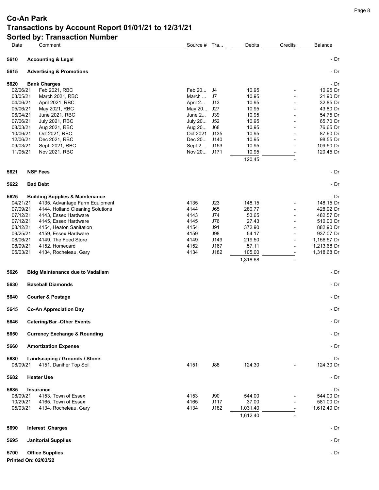| Date             | Comment                                                 | Source # Tra… |            | Debits   | Credits        | Balance           |
|------------------|---------------------------------------------------------|---------------|------------|----------|----------------|-------------------|
| 5610             | <b>Accounting &amp; Legal</b>                           |               |            |          |                | - Dr              |
| 5615             | <b>Advertising &amp; Promotions</b>                     |               |            |          |                | - Dr              |
| 5620             | <b>Bank Charges</b>                                     |               |            |          |                | - Dr              |
| 02/06/21         | Feb 2021, RBC                                           | Feb 20 J4     |            | 10.95    |                | 10.95 Dr          |
| 03/05/21         | March 2021, RBC                                         | March         | J7         | 10.95    |                | 21.90 Dr          |
| 04/06/21         | April 2021, RBC                                         | April 2       | J13        | 10.95    |                | 32.85 Dr          |
| 05/06/21         | May 2021, RBC                                           | May 20 J27    |            | 10.95    |                | 43.80 Dr          |
| 06/04/21         | <b>June 2021, RBC</b>                                   | June 2        | J39        | 10.95    |                | 54.75 Dr          |
| 07/06/21         | <b>July 2021, RBC</b>                                   | July 20       | J52        | 10.95    |                | 65.70 Dr          |
| 08/03/21         | Aug 2021, RBC                                           | Aug 20        | J68        | 10.95    | $\blacksquare$ | 76.65 Dr          |
| 10/06/21         | Oct 2021, RBC                                           | Oct 2021      | J135       | 10.95    |                | 87.60 Dr          |
| 12/06/21         | Dec 2021, RBC                                           | Dec 20 J140   |            | 10.95    |                | 98.55 Dr          |
| 09/03/21         | Sept 2021, RBC                                          | Sept 2        | J153       | 10.95    |                | 109.50 Dr         |
| 11/05/21         | Nov 2021, RBC                                           | Nov 20 J171   |            | 10.95    |                | 120.45 Dr         |
|                  |                                                         |               |            | 120.45   |                |                   |
| 5621             | <b>NSF Fees</b>                                         |               |            |          |                | - Dr              |
| 5622             | <b>Bad Debt</b>                                         |               |            |          |                | - Dr              |
| 5625             | <b>Building Supplies &amp; Maintenance</b>              |               |            |          |                | - Dr              |
| 04/21/21         | 4135, Advantage Farm Equipment                          | 4135          | J23        | 148.15   |                | 148.15 Dr         |
| 07/09/21         | 4144, Holland Cleaning Solutions                        | 4144          | J65        | 280.77   |                | 428.92 Dr         |
| 07/12/21         | 4143, Essex Hardware                                    | 4143          | J74        | 53.65    |                | 482.57 Dr         |
| 07/12/21         | 4145, Essex Hardware                                    | 4145          | J76        | 27.43    |                | 510.00 Dr         |
| 08/12/21         | 4154, Heaton Sanitation                                 | 4154          | J91        | 372.90   | $\blacksquare$ | 882.90 Dr         |
| 09/25/21         | 4159, Essex Hardware                                    | 4159          | J98        | 54.17    |                | 937.07 Dr         |
| 08/06/21         | 4149, The Feed Store                                    | 4149          | J149       | 219.50   | ÷              | 1,156.57 Dr       |
| 08/09/21         | 4152, Homecard                                          | 4152          | J167       | 57.11    | $\blacksquare$ | 1,213.68 Dr       |
| 05/03/21         | 4134, Rocheleau, Gary                                   | 4134          | J182       | 105.00   |                | 1,318.68 Dr       |
|                  |                                                         |               |            | 1,318.68 |                |                   |
| 5626             | <b>Bldg Maintenance due to Vadalism</b>                 |               |            |          |                | - Dr              |
| 5630             | <b>Baseball Diamonds</b>                                |               |            |          |                | - Dr              |
| 5640             | <b>Courier &amp; Postage</b>                            |               |            |          |                | - Dr              |
|                  |                                                         |               |            |          |                |                   |
| 5645             | <b>Co-An Appreciation Day</b>                           |               |            |          |                | - Dr              |
| 5646             | <b>Catering/Bar -Other Events</b>                       |               |            |          |                | - Dr              |
| 5650             | <b>Currency Exchange &amp; Rounding</b>                 |               |            |          |                | - Dr              |
| 5660             | <b>Amortization Expense</b>                             |               |            |          |                | - Dr              |
| 5680<br>08/09/21 | Landscaping / Grounds / Stone<br>4151, Daniher Top Soil | 4151          | J88        | 124.30   |                | - Dr<br>124.30 Dr |
|                  |                                                         |               |            |          |                |                   |
| 5682             | <b>Heater Use</b>                                       |               |            |          |                | - Dr              |
| 5685             | <b>Insurance</b>                                        |               |            |          |                | - Dr              |
| 08/09/21         | 4153, Town of Essex                                     | 4153          | <b>J90</b> | 544.00   |                | 544.00 Dr         |
| 10/29/21         | 4165, Town of Essex                                     | 4165          | J117       | 37.00    |                | 581.00 Dr         |
| 05/03/21         | 4134, Rocheleau, Gary                                   | 4134          | J182       | 1,031.40 |                | 1,612.40 Dr       |
|                  |                                                         |               |            | 1,612.40 |                |                   |
| 5690             | <b>Interest Charges</b>                                 |               |            |          |                | - Dr              |
|                  |                                                         |               |            |          |                |                   |
| 5695             | <b>Janitorial Supplies</b>                              |               |            |          |                | - Dr              |
| 5700             | <b>Office Supplies</b>                                  |               |            |          |                | - Dr              |
|                  | Printed On: 02/03/22                                    |               |            |          |                |                   |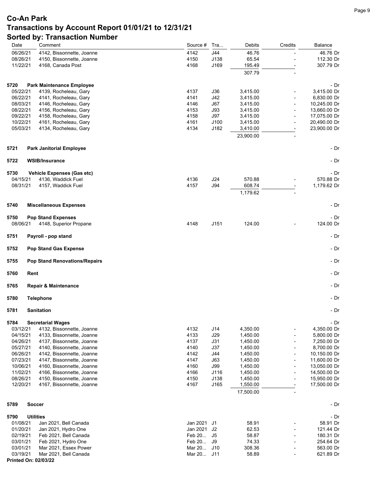| Date                 | Comment                                        | Source #     | Tra          | Debits                | Credits                  | Balance                      |
|----------------------|------------------------------------------------|--------------|--------------|-----------------------|--------------------------|------------------------------|
| 06/26/21             | 4142, Bissonnette, Joanne                      | 4142         | J44          | 46.76                 |                          | 46.76 Dr                     |
| 08/26/21             | 4150, Bissonnette, Joanne                      | 4150         | J138         | 65.54                 |                          | 112.30 Dr                    |
| 11/22/21             | 4168, Canada Post                              | 4168         | J169         | 195.49                |                          | 307.79 Dr                    |
|                      |                                                |              |              | 307.79                |                          |                              |
| 5720                 | <b>Park Maintenance Employee</b>               |              |              |                       |                          | - Dr                         |
| 05/22/21             | 4139, Rocheleau, Gary                          | 4137         | J36          | 3,415.00              |                          | 3,415.00 Dr                  |
| 06/22/21             | 4141, Rocheleau, Gary                          | 4141         | J42          | 3,415.00              |                          | 6,830.00 Dr                  |
| 08/03/21             | 4146, Rocheleau, Gary                          | 4146         | J67          | 3,415.00              |                          | 10,245.00 Dr                 |
| 08/22/21             | 4156, Rocheleau, Gary                          | 4153         | J93          | 3,415.00              |                          | 13,660.00 Dr                 |
| 09/22/21             | 4158, Rocheleau, Gary                          | 4158         | J97          | 3,415.00              | $\overline{a}$           | 17,075.00 Dr                 |
| 10/22/21<br>05/03/21 | 4161, Rocheleau, Gary<br>4134, Rocheleau, Gary | 4161<br>4134 | J100<br>J182 | 3,415.00<br>3,410.00  |                          | 20,490.00 Dr<br>23,900.00 Dr |
|                      |                                                |              |              | 23,900.00             |                          |                              |
|                      |                                                |              |              |                       |                          |                              |
| 5721                 | Park Janitorial Employee                       |              |              |                       |                          | - Dr                         |
| 5722                 | <b>WSIB/Insurance</b>                          |              |              |                       |                          | - Dr                         |
| 5730                 | <b>Vehicle Expenses (Gas etc)</b>              |              |              |                       |                          | - Dr                         |
| 04/15/21             | 4136, Waddick Fuel                             | 4136         | J24          | 570.88                |                          | 570.88 Dr                    |
| 08/31/21             | 4157, Waddick Fuel                             | 4157         | J94          | 608.74                |                          | 1,179.62 Dr                  |
|                      |                                                |              |              | 1,179.62              |                          |                              |
| 5740                 | <b>Miscellaneous Expenses</b>                  |              |              |                       |                          | - Dr                         |
| 5750                 | <b>Pop Stand Expenses</b>                      |              |              |                       |                          | - Dr                         |
| 08/06/21             | 4148, Superior Propane                         | 4148         | J151         | 124.00                |                          | 124.00 Dr                    |
| 5751                 | Payroll - pop stand                            |              |              |                       |                          | - Dr                         |
| 5752                 | <b>Pop Stand Gas Expense</b>                   |              |              |                       |                          | - Dr                         |
| 5755                 | <b>Pop Stand Renovations/Repairs</b>           |              |              |                       |                          | - Dr                         |
| 5760                 | Rent                                           |              |              |                       |                          | - Dr                         |
| 5765                 | <b>Repair &amp; Maintenance</b>                |              |              |                       |                          | - Dr                         |
| 5780                 | <b>Telephone</b>                               |              |              |                       |                          | - Dr                         |
| 5781                 | <b>Sanitation</b>                              |              |              |                       |                          | - Dr                         |
| 5784                 | <b>Secretarial Wages</b>                       |              |              |                       |                          | - Dr                         |
| 03/12/21             | 4132, Bissonnette, Joanne                      | 4132         | J14          | 4,350.00              |                          | 4,350.00 Dr                  |
| 04/15/21             | 4133, Bissonnette, Joanne                      | 4133         | J29          | 1,450.00              |                          | 5,800.00 Dr                  |
| 04/26/21             | 4137, Bissonnette, Joanne                      | 4137         | J31          | 1,450.00              | ÷,                       | 7,250.00 Dr                  |
| 05/27/21             | 4140, Bissonnette, Joanne                      | 4140         | J37          | 1,450.00              | $\overline{\phantom{a}}$ | 8,700.00 Dr                  |
| 06/26/21             | 4142, Bissonnette, Joanne                      | 4142         | J44          | 1,450.00              |                          | 10,150.00 Dr                 |
| 07/23/21             | 4147, Bissonnette, Joanne                      | 4147         | J63          | 1,450.00              | ÷,                       | 11,600.00 Dr                 |
| 10/06/21             | 4160, Bissonnette, Joanne                      | 4160         | <b>J99</b>   | 1,450.00              | $\overline{\phantom{a}}$ | 13,050.00 Dr                 |
| 11/02/21             | 4166, Bissonnette, Joanne                      | 4166         | J116         | 1,450.00              | $\overline{a}$           | 14,500.00 Dr                 |
| 08/26/21<br>12/20/21 | 4150, Bissonnette, Joanne                      | 4150         | J138         | 1,450.00              | ÷,                       | 15,950.00 Dr                 |
|                      | 4167, Bissonnette, Joanne                      | 4167         | J165         | 1,550.00<br>17,500.00 | $\overline{a}$           | 17,500.00 Dr                 |
| 5789                 | <b>Soccer</b>                                  |              |              |                       |                          | - Dr                         |
|                      |                                                |              |              |                       |                          |                              |
| 5790<br>01/08/21     | <b>Utilities</b>                               | Jan 2021 J1  |              |                       |                          | - Dr<br>58.91 Dr             |
| 01/20/21             | Jan 2021, Bell Canada<br>Jan 2021, Hydro One   | Jan 2021     | J2           | 58.91<br>62.53        | L,                       | 121.44 Dr                    |
| 02/19/21             | Feb 2021, Bell Canada                          | Feb 20       | J5           | 58.87                 |                          | 180.31 Dr                    |
| 03/01/21             | Feb 2021, Hydro One                            | Feb 20       | J9           | 74.33                 | $\overline{a}$           | 254.64 Dr                    |
| 03/01/21             | Mar 2021, Essex Power                          | Mar 20 J10   |              | 308.36                | ÷                        | 563.00 Dr                    |
| 03/19/21             | Mar 2021, Bell Canada<br>Printed On: 02/03/22  | Mar 20 J11   |              | 58.89                 |                          | 621.89 Dr                    |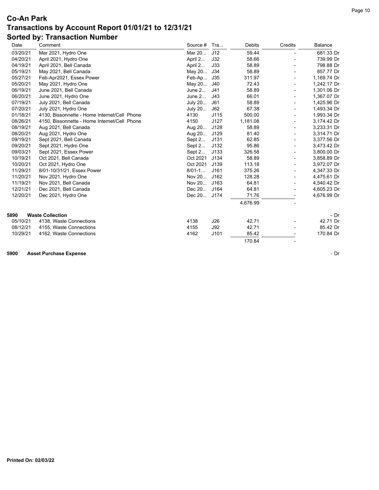| Date     | Comment                                      | Source #    | Tra        | Debits   | Credits | Balance     |
|----------|----------------------------------------------|-------------|------------|----------|---------|-------------|
| 03/20/21 | Mar 2021, Hydro One                          | Mar 20      | J12        | 59.44    |         | 681.33 Dr   |
| 04/20/21 | April 2021, Hydro One                        | April 2     | J32        | 58.66    |         | 739.99 Dr   |
| 04/19/21 | April 2021, Bell Canada                      | April 2     | J33        | 58.89    |         | 798.88 Dr   |
| 05/19/21 | May 2021, Bell Canada                        | May 20 J34  |            | 58.89    |         | 857.77 Dr   |
| 05/27/21 | Feb-Apr2021, Essex Power                     | Feb-Ap J35  |            | 311.97   |         | 1,169.74 Dr |
| 05/20/21 | May 2021, Hydro One                          | May 20 J40  |            | 72.43    |         | 1,242.17 Dr |
| 06/19/21 | June 2021, Bell Canada                       | June 2      | J41        | 58.89    |         | 1,301.06 Dr |
| 06/20/21 | June 2021, Hydro One                         | June 2      | J43        | 66.01    |         | 1,367.07 Dr |
| 07/19/21 | July 2021, Bell Canada                       | July 20     | J61        | 58.89    |         | 1,425.96 Dr |
| 07/20/21 | July 2021, Hydro One                         | July 20     | J62        | 67.38    |         | 1,493.34 Dr |
| 01/18/21 | 4130, Bissonnette - Home Internet/Cell Phone | 4130        | J115       | 500.00   |         | 1,993.34 Dr |
| 08/26/21 | 4150, Bissonnette - Home Internet/Cell Phone | 4150        | J127       | 1,181.08 |         | 3,174.42 Dr |
| 08/19/21 | Aug 2021, Bell Canada                        | Aug 20      | J128       | 58.89    |         | 3,233.31 Dr |
| 08/20/21 | Aug 2021, Hydro One                          | Aug 20      | J129       | 81.40    |         | 3,314.71 Dr |
| 09/19/21 | Sept 2021, Bell Canada                       | Sept $2$    | J131       | 62.85    |         | 3,377.56 Dr |
| 09/20/21 | Sept 2021, Hydro One                         | Sept $2$    | J132       | 95.86    |         | 3,473.42 Dr |
| 09/03/21 | Sept 2021, Essex Power                       | Sept 2      | J133       | 326.58   |         | 3,800.00 Dr |
| 10/19/21 | Oct 2021, Bell Canada                        | Oct 2021    | J134       | 58.89    |         | 3,858.89 Dr |
| 10/20/21 | Oct 2021, Hydro One                          | Oct 2021    | J139       | 113.18   |         | 3,972.07 Dr |
| 11/29/21 | 8/01-10/31/21, Essex Power                   | $8/01-1$    | J161       | 375.26   |         | 4,347.33 Dr |
| 11/20/21 | Nov 2021, Hydro One                          | Nov 20      | J162       | 128.28   |         | 4,475.61 Dr |
| 11/19/21 | Nov 2021, Bell Canada                        | Nov 20      | J163       | 64.81    |         | 4,540.42 Dr |
| 12/21/21 | Dec 2021, Bell Canada                        | Dec 20      | J164       | 64.81    |         | 4,605.23 Dr |
| 12/20/21 | Dec 2021, Hydro One                          | Dec 20 J174 |            | 71.76    |         | 4,676.99 Dr |
|          |                                              |             |            | 4,676.99 |         |             |
| 5890     | <b>Waste Collection</b>                      |             |            |          |         | - Dr        |
| 05/10/21 | 4138, Waste Connections                      | 4138        | J26        | 42.71    |         | 42.71 Dr    |
| 08/12/21 | 4155, Waste Connections                      | 4155        | <b>J92</b> | 42.71    |         | 85.42 Dr    |
| 10/29/21 | 4162, Waste Connections                      | 4162        | J101       | 85.42    |         | 170.84 Dr   |
|          |                                              |             |            | 170.84   |         |             |

**5900 Asset Purchase Expense** - Dr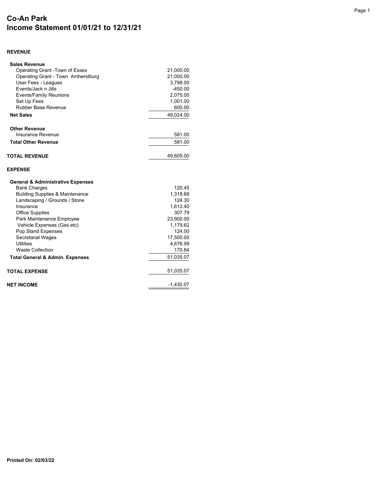# **Co-An Park Income Statement 01/01/21 to 12/31/21**

#### **REVENUE**

| <b>Sales Revenue</b>                         |                    |
|----------------------------------------------|--------------------|
| Operating Grant -Town of Essex               | 21,000.00          |
| Operating Grant - Town Amherstburg           | 21,000.00          |
| User Fees - Leagues                          | 3,798.00           |
| Events/Jack n Jills                          | $-450.00$          |
| <b>Events/Family Reunions</b>                | 2,075.00           |
| Set Up Fees                                  | 1,001.00           |
| Rubber Base Revenue                          | 600.00             |
| <b>Net Sales</b>                             | 49,024.00          |
| <b>Other Revenue</b>                         |                    |
| Insurance Revenue                            | 581.00             |
| <b>Total Other Revenue</b>                   | 581.00             |
| <b>TOTAL REVENUE</b>                         | 49,605.00          |
| <b>EXPENSE</b>                               |                    |
| <b>General &amp; Administrative Expenses</b> |                    |
| <b>Bank Charges</b>                          | 120.45             |
| <b>Building Supplies &amp; Maintenance</b>   | 1,318.68           |
| Landscaping / Grounds / Stone                | 124.30             |
| Insurance                                    | 1,612.40           |
| <b>Office Supplies</b>                       | 307.79             |
| Park Maintenance Employee                    | 23,900.00          |
| Vehicle Expenses (Gas etc)                   | 1,179.62           |
| Pop Stand Expenses                           | 124.00             |
| <b>Secretarial Wages</b><br><b>Utilities</b> | 17,500.00          |
| <b>Waste Collection</b>                      | 4,676.99<br>170.84 |
|                                              |                    |
| <b>Total General &amp; Admin. Expenses</b>   | 51,035.07          |
| <b>TOTAL EXPENSE</b>                         | 51,035.07          |
| <b>NET INCOME</b>                            | $-1,430.07$        |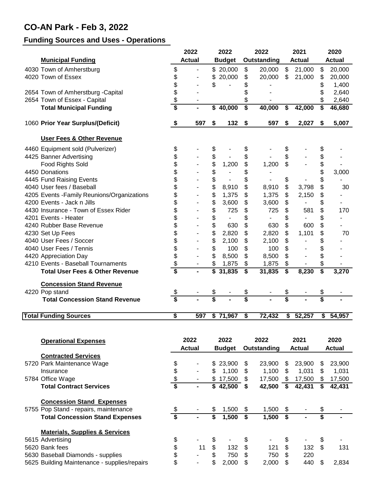# **CO-AN Park - Feb 3, 2022**

#### **Funding Sources and Uses - Operations**

|                                             | 2022                                 |                | 2022          |                          | 2022                                 |                | 2021          |                          | 2020          |               |
|---------------------------------------------|--------------------------------------|----------------|---------------|--------------------------|--------------------------------------|----------------|---------------|--------------------------|---------------|---------------|
| <b>Municipal Funding</b>                    | <b>Actual</b>                        |                | <b>Budget</b> |                          | Outstanding                          |                | <b>Actual</b> |                          | <b>Actual</b> |               |
| 4030 Town of Amherstburg                    | \$                                   |                |               | \$20,000                 | \$                                   | 20,000         | \$            | 21,000                   | \$            | 20,000        |
| 4020 Town of Essex                          | \$                                   | $\overline{a}$ | \$            | 20,000                   | \$                                   | 20,000         | \$            | 21,000                   | \$            | 20,000        |
|                                             | \$                                   |                | \$            |                          | \$                                   |                |               |                          | \$            | 1,400         |
| 2654 Town of Amherstburg - Capital          | \$                                   |                |               |                          | \$                                   |                |               |                          | \$            | 2,640         |
| 2654 Town of Essex - Capital                | \$                                   |                |               |                          | \$                                   |                |               |                          | \$            | 2,640         |
| <b>Total Municipal Funding</b>              | \$                                   |                | \$            | 40,000                   | $\overline{\boldsymbol{\mathsf{s}}}$ | 40,000         | \$            | 42,000                   | \$            | 46,680        |
| 1060 Prior Year Surplus/(Deficit)           | \$                                   | 597            | \$            | 132                      | \$                                   | 597            | \$            | 2,027                    | \$            | 5,007         |
| <b>User Fees &amp; Other Revenue</b>        |                                      |                |               |                          |                                      |                |               |                          |               |               |
| 4460 Equipment sold (Pulverizer)            | \$                                   |                | \$            |                          | \$                                   |                | \$            |                          | \$            |               |
| 4425 Banner Advertising                     | \$                                   |                | \$            |                          | \$                                   |                | \$            |                          | \$            |               |
| Food Rights Sold                            | \$                                   |                | \$            | 1,200                    | \$                                   | 1,200          | \$            |                          | \$            |               |
| 4450 Donations                              | \$                                   |                | \$            |                          | \$                                   |                |               |                          | \$            | 3,000         |
| 4445 Fund Raising Events                    | \$                                   |                | \$            | $\overline{a}$           | \$                                   | $\blacksquare$ | \$            |                          | \$            |               |
| 4040 User fees / Baseball                   | \$                                   |                | \$            | 8,910                    | \$                                   | 8,910          | \$            | 3,798                    | \$            | 30            |
| 4205 Events - Family Reunions/Organizations | \$                                   |                | \$            | 1,375                    | \$                                   | 1,375          | \$            | 2,150                    | \$            |               |
| 4200 Events - Jack n Jills                  | \$                                   |                | \$            | 3,600                    | \$                                   | 3,600          | \$            |                          | \$            |               |
| 4430 Insurance - Town of Essex Rider        | \$                                   |                | \$            | 725                      | \$                                   | 725            | \$            | 581                      | \$            | 170           |
| 4201 Events - Heater                        | \$                                   |                | \$            | $\overline{\phantom{a}}$ | \$                                   | $\blacksquare$ | \$            | $\blacksquare$           | \$            |               |
| 4240 Rubber Base Revenue                    | \$                                   |                | \$            | 630                      | \$                                   | 630            | \$            | 600                      | \$            |               |
| 4230 Set Up Fees                            | \$                                   |                | \$            | 2,820                    | \$                                   | 2,820          | \$            | 1,101                    | \$            | 70            |
| 4040 User Fees / Soccer                     | \$                                   |                | \$            | 2,100                    | \$                                   | 2,100          | \$            | $\overline{\phantom{a}}$ | \$            |               |
| 4040 User Fees / Tennis                     | \$                                   |                | \$            | 100                      | \$                                   | 100            | \$            | $\overline{\phantom{0}}$ | \$            |               |
| 4420 Appreciation Day                       | \$                                   |                | \$            | 8,500                    | \$                                   | 8,500          | \$            | $\overline{\phantom{a}}$ | \$            |               |
| 4210 Events - Baseball Tournaments          | \$                                   |                | \$            | 1,875                    | \$                                   | 1,875          | \$            |                          | \$            |               |
| <b>Total User Fees &amp; Other Revenue</b>  | $\overline{\boldsymbol{\mathsf{s}}}$ |                | \$            | 31,835                   | \$                                   | 31,835         | \$            | 8,230                    | \$            | 3,270         |
| <b>Concession Stand Revenue</b>             |                                      |                |               |                          |                                      |                |               |                          |               |               |
| 4220 Pop stand                              | \$                                   |                | \$            |                          | \$                                   |                | \$            |                          | \$            |               |
| <b>Total Concession Stand Revenue</b>       | \$                                   |                | \$            |                          | \$                                   |                | \$            |                          | \$            |               |
| <b>Total Funding Sources</b>                | \$                                   | 597            |               | \$71,967                 | \$                                   | 72,432         | \$            | 52,257                   | \$            | 54,957        |
|                                             |                                      |                |               |                          |                                      |                |               |                          |               |               |
| <b>Operational Expenses</b>                 |                                      | 2022           |               | 2022                     |                                      | 2022           |               | 2021                     |               | 2020          |
|                                             |                                      | <b>Actual</b>  |               | <b>Budget</b>            |                                      | Outstanding    |               | <b>Actual</b>            |               | <b>Actual</b> |
| <b>Contracted Services</b>                  |                                      |                |               |                          |                                      |                |               |                          |               |               |
| 5720 Park Maintenance Wage                  | \$                                   |                |               | \$23,900                 | \$                                   | 23,900         | \$            | 23,900                   | \$            | 23,900        |
| Insurance                                   |                                      |                | \$            | 1,100                    | \$                                   | 1,100          | \$            | 1,031                    | \$            | 1,031         |
| 5784 Office Wage                            | \$<br>\$                             |                |               | \$17,500                 | \$                                   | 17,500         | \$            | 17,500                   | \$            | 17,500        |
| <b>Total Contract Services</b>              | $\overline{\boldsymbol{s}}$          |                |               | 42,500                   | \$                                   | 42,500         | - \$          | 42,431                   | \$            | 42,431        |
| <b>Concession Stand Expenses</b>            |                                      |                |               |                          |                                      |                |               |                          |               |               |
| 5755 Pop Stand - repairs, maintenance       |                                      |                |               | 1,500                    | \$                                   | 1,500          | \$            |                          | \$            |               |
| <b>Total Concession Stand Expenses</b>      | $\overline{\boldsymbol{s}}$          |                | \$            | 1,500                    | s)                                   | $1,500$ \$     |               |                          | \$            |               |

#### **Materials, Supplies & Services**

5615 Advertising \$ - \$ - \$ - \$ - \$ -

- 5620 Bank fees <br>5630 Baseball Diamonds supplies <br>5630 Baseball Diamonds supplies <br>5630 Baseball Diamonds supplies <br>5 \$750 \$750 \$220 5630 Baseball Diamonds - supplies \$ - \$ 750 \$ 750 \$ 220
- 5625 Building Maintenance supplies/repairs  $$ 1.5625$  Building Maintenance supplies/repairs  $$ 1.625$  Building Maintenance supplies/repairs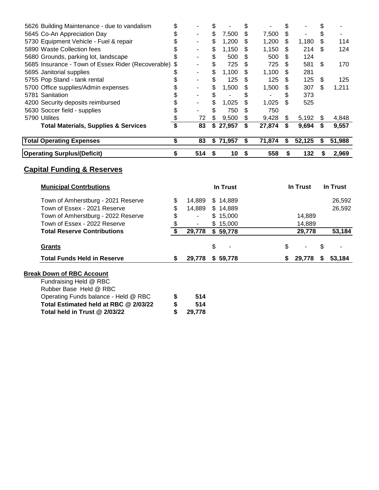| <b>Operating Surplus/(Deficit)</b>                 | \$ | 514 | \$<br>10     | S.  | 558    | \$  | 132    | \$ | 2,969  |
|----------------------------------------------------|----|-----|--------------|-----|--------|-----|--------|----|--------|
| <b>Total Operating Expenses</b>                    | \$ | 83  | \$71,957     | \$  | 71,874 | \$  | 52,125 | S  | 51,988 |
| <b>Total Materials, Supplies &amp; Services</b>    | \$ | 83  | \$<br>27,957 | \$  | 27,874 | \$  | 9,694  | \$ | 9,557  |
| 5790 Utilites                                      |    | 72  | \$<br>9,500  | S   | 9,428  | \$  | 5,192  | \$ | 4,848  |
| 5630 Soccer field - supplies                       | S  |     | 750          | S   | 750    |     |        |    |        |
| 4200 Security deposits reimbursed                  |    |     | \$<br>1,025  | \$  | 1,025  | \$  | 525    |    |        |
| 5781 Sanitation                                    |    |     | \$           | \$  |        | \$  | 373    |    |        |
| 5700 Office supplies/Admin expenses                |    |     | \$<br>1,500  | \$. | 1,500  | \$  | 307    | \$ | 1,211  |
| 5755 Pop Stand - tank rental                       |    |     | \$<br>125    | \$. | 125    | \$  | 125    | \$ | 125    |
| 5695 Janitorial supplies                           |    |     | \$<br>1,100  | S   | 1,100  | \$. | 281    |    |        |
| 5685 Insurance - Town of Essex Rider (Recoverable) | S  |     | \$<br>725    | \$  | 725    | \$  | 581    | \$ | 170    |
| 5680 Grounds, parking lot, landscape               |    |     | \$<br>500    | S   | 500    | \$  | 124    |    |        |
| 5890 Waste Collection fees                         |    |     | \$<br>1,150  | S   | 1,150  | \$  | 214    | \$ | 124    |
| 5730 Equipment Vehicle - Fuel & repair             |    |     | \$<br>1,200  | S   | 1,200  | \$  | 1,180  | \$ | 114    |
| 5645 Co-An Appreciation Day                        |    |     | \$<br>7,500  | \$  | 7,500  | \$  |        | \$ |        |
| 5626 Building Maintenance - due to vandalism       |    |     |              |     |        |     |        |    |        |

| <b>Municipal Contrbutions</b>         |                      | In Trust | In Trust | In Trust     |
|---------------------------------------|----------------------|----------|----------|--------------|
| Town of Amherstburg - 2021 Reserve    | \$<br>14,889         | \$14,889 |          | 26,592       |
| Town of Essex - 2021 Reserve          | \$<br>14,889         | \$14,889 |          | 26,592       |
| Town of Amherstburg - 2022 Reserve    | \$<br>$\blacksquare$ | \$15,000 | 14,889   |              |
| Town of Essex - 2022 Reserve          | \$                   | \$15,000 | 14,889   |              |
| <b>Total Reserve Contributions</b>    | \$<br>29,778         | \$59,778 | 29,778   | 53,184       |
| <b>Grants</b>                         |                      | \$       | \$       | \$           |
| <b>Total Funds Held in Reserve</b>    | \$<br>29,778         | \$59,778 | 29,778   | 53,184<br>S. |
| <b>Break Down of RBC Account</b>      |                      |          |          |              |
| Fundraising Held @ RBC                |                      |          |          |              |
| Rubber Base Held @ RBC                |                      |          |          |              |
| Operating Funds balance - Held @ RBC  | \$<br>514            |          |          |              |
| Total Estimated held at RBC @ 2/03/22 | \$<br>514            |          |          |              |
| Total held in Trust @ 2/03/22         | \$<br>29,778         |          |          |              |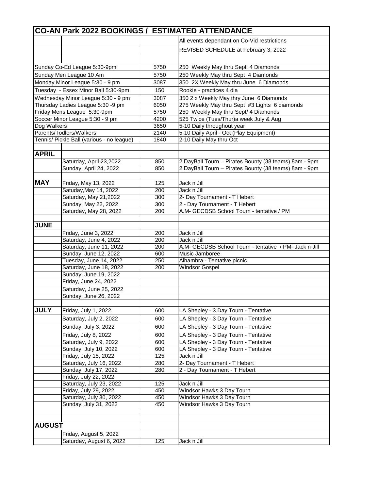|               | CO-AN Park 2022 BOOKINGS / ESTIMATED ATTENDANCE  |            |                                                        |
|---------------|--------------------------------------------------|------------|--------------------------------------------------------|
|               |                                                  |            | All events dependant on Co-Vid restrictions            |
|               |                                                  |            | REVISED SCHEDULE at February 3, 2022                   |
|               |                                                  |            |                                                        |
|               | Sunday Co-Ed League 5:30-9pm                     | 5750       | 250 Weekly May thru Sept 4 Diamonds                    |
|               | Sunday Men League 10 Am                          | 5750       | 250 Weekly May thru Sept 4 Diamonds                    |
|               | Monday Minor League 5:30 - 9 pm                  | 3087       | 350 2X Weekly May thru June 6 Diamonds                 |
|               | Tuesday - Essex Minor Ball 5:30-9pm              | 150        | Rookie - practices 4 dia                               |
|               | Wednesday Minor League 5:30 - 9 pm               | 3087       | 350 2 x Weekly May thry June 6 Diamonds                |
|               | Thursday Ladies League 5:30 -9 pm                | 6050       | 275 Weekly May thru Sept #3 Lights 6 diamonds          |
|               | Friday Mens League 5:30-9pm                      | 5750       | 250 Weekly May thru Sept/ 4 Diamonds                   |
|               | Soccer Minor League 5:30 - 9 pm                  | 4200       | 525 Twice (Tues/Thur)a week July & Aug                 |
| Dog Walkers   |                                                  | 3650       | 5-10 Daily throughout year                             |
|               | Parents/Todlers/Walkers                          | 2140       | 5-10 Daily April - Oct (Play Equipment)                |
|               | Tennis/ Pickle Ball (various - no league)        | 1840       | 2-10 Daily May thru Oct                                |
|               |                                                  |            |                                                        |
| <b>APRIL</b>  |                                                  |            |                                                        |
|               | Saturday, April 23,2022                          | 850        | 2 DayBall Tourn - Pirates Bounty (38 teams) 8am - 9pm  |
|               | Sunday, April 24, 2022                           | 850        | 2 DayBall Tourn - Pirates Bounty (38 teams) 8am - 9pm  |
| <b>MAY</b>    | Friday, May 13, 2022                             | 125        | Jack n Jill                                            |
|               | Satuday, May 14, 2022                            | 200        | Jack n Jill                                            |
|               | Saturday, May 21,2022                            | 300        | 2- Day Tournament - T Hebert                           |
|               | Sunday, May 22, 2022                             | 300        | 2 - Day Tournament - T Hebert                          |
|               | Saturday, May 28, 2022                           | 200        | A.M- GECDSB School Tourn - tentative / PM              |
|               |                                                  |            |                                                        |
| <b>JUNE</b>   |                                                  |            |                                                        |
|               | Friday, June 3, 2022                             | 200        | Jack n Jill                                            |
|               | Saturday, June 4, 2022                           | 200        | Jack n Jill                                            |
|               | Saturday, June 11, 2022                          | 200        | A.M- GECDSB School Tourn - tentative / PM- Jack n Jill |
|               | Sunday, June 12, 2022<br>Tuesday, June 14, 2022  | 600<br>250 | Music Jamboree<br>Alhambra - Tentative picnic          |
|               | Saturday, June 18, 2022                          | 200        | <b>Windsor Gospel</b>                                  |
|               | Sunday, June 19, 2022                            |            |                                                        |
|               | Friday, June 24, 2022                            |            |                                                        |
|               | Saturday, June 25, 2022                          |            |                                                        |
|               | Sunday, June 26, 2022                            |            |                                                        |
|               |                                                  |            |                                                        |
| <b>JULY</b>   | Friday, July 1, 2022                             | 600        | LA Shepley - 3 Day Tourn - Tentative                   |
|               | Saturday, July 2, 2022                           | 600        | LA Shepley - 3 Day Tourn - Tentative                   |
|               | Sunday, July 3, 2022                             | 600        | LA Shepley - 3 Day Tourn - Tentative                   |
|               | Friday, July 8, 2022                             | 600        | LA Shepley - 3 Day Tourn - Tentative                   |
|               | Saturday, July 9, 2022                           | 600        | LA Shepley - 3 Day Tourn - Tentative                   |
|               | Sunday, July 10, 2022                            | 600        | LA Shepley - 3 Day Tourn - Tentative                   |
|               | Friday, July 15, 2022                            | 125        | Jack n Jill                                            |
|               | Saturday, July 16, 2022                          | 280        | 2- Day Tournament - T Hebert                           |
|               | Sunday, July 17, 2022                            | 280        | 2 - Day Tournament - T Hebert                          |
|               | Friday, July 22, 2022<br>Saturday, July 23, 2022 | 125        | Jack n Jill                                            |
|               | Friday, July 29, 2022                            | 450        | Windsor Hawks 3 Day Tourn                              |
|               | Saturday, July 30, 2022                          | 450        | Windsor Hawks 3 Day Tourn                              |
|               | Sunday, July 31, 2022                            | 450        | Windsor Hawks 3 Day Tourn                              |
|               |                                                  |            |                                                        |
|               |                                                  |            |                                                        |
| <b>AUGUST</b> |                                                  |            |                                                        |
|               | Friday, August 5, 2022                           |            |                                                        |
|               | Saturday, August 6, 2022                         | 125        | Jack n Jill                                            |